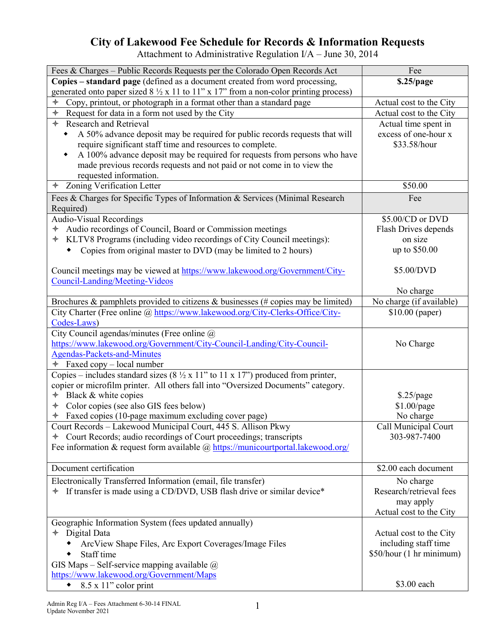## **City of Lakewood Fee Schedule for Records & Information Requests**

Attachment to Administrative Regulation I/A – June 30, 2014

| Fees & Charges - Public Records Requests per the Colorado Open Records Act                                                      | Fee                      |
|---------------------------------------------------------------------------------------------------------------------------------|--------------------------|
| Copies – standard page (defined as a document created from word processing,                                                     | \$.25/page               |
| generated onto paper sized $8\frac{1}{2}$ x 11 to 11" x 17" from a non-color printing process)                                  |                          |
| Copy, printout, or photograph in a format other than a standard page                                                            | Actual cost to the City  |
| Request for data in a form not used by the City<br>✦                                                                            | Actual cost to the City  |
| <b>Research and Retrieval</b><br>✦                                                                                              | Actual time spent in     |
| A 50% advance deposit may be required for public records requests that will<br>٠                                                | excess of one-hour x     |
| require significant staff time and resources to complete.                                                                       | \$33.58/hour             |
| A 100% advance deposit may be required for requests from persons who have<br>٠                                                  |                          |
| made previous records requests and not paid or not come in to view the                                                          |                          |
| requested information.                                                                                                          |                          |
| <b>Zoning Verification Letter</b><br>✦                                                                                          | \$50.00                  |
| Fees & Charges for Specific Types of Information & Services (Minimal Research                                                   | Fee                      |
| Required)                                                                                                                       |                          |
| Audio-Visual Recordings                                                                                                         | \$5.00/CD or DVD         |
| Audio recordings of Council, Board or Commission meetings<br>✦                                                                  | Flash Drives depends     |
| * KLTV8 Programs (including video recordings of City Council meetings):                                                         | on size                  |
| Copies from original master to DVD (may be limited to 2 hours)                                                                  | up to \$50.00            |
|                                                                                                                                 |                          |
| Council meetings may be viewed at https://www.lakewood.org/Government/City-                                                     | \$5.00/DVD               |
| Council-Landing/Meeting-Videos                                                                                                  |                          |
|                                                                                                                                 | No charge                |
| Brochures & pamphlets provided to citizens & businesses (# copies may be limited)                                               | No charge (if available) |
| City Charter (Free online @ https://www.lakewood.org/City-Clerks-Office/City-                                                   | \$10.00 (paper)          |
| Codes-Laws)                                                                                                                     |                          |
| City Council agendas/minutes (Free online @)                                                                                    |                          |
| https://www.lakewood.org/Government/City-Council-Landing/City-Council-                                                          | No Charge                |
| <b>Agendas-Packets-and-Minutes</b>                                                                                              |                          |
| $\div$ Faxed copy – local number<br>Copies – includes standard sizes (8 $\frac{1}{2}$ x 11" to 11 x 17") produced from printer, |                          |
| copier or microfilm printer. All others fall into "Oversized Documents" category.                                               |                          |
| Black & white copies<br>$\color{red} \blacklozenge$                                                                             | $$.25$ /page             |
| + Color copies (see also GIS fees below)                                                                                        | $$1.00$ /page            |
| + Faxed copies (10-page maximum excluding cover page)                                                                           | No charge                |
| Court Records - Lakewood Municipal Court, 445 S. Allison Pkwy                                                                   | Call Municipal Court     |
| + Court Records; audio recordings of Court proceedings; transcripts                                                             | 303-987-7400             |
| Fee information & request form available $(a)$ https://municourtportal.lakewood.org/                                            |                          |
|                                                                                                                                 |                          |
| Document certification                                                                                                          | \$2.00 each document     |
| Electronically Transferred Information (email, file transfer)                                                                   | No charge                |
| + If transfer is made using a CD/DVD, USB flash drive or similar device*                                                        | Research/retrieval fees  |
|                                                                                                                                 | may apply                |
|                                                                                                                                 | Actual cost to the City  |
| Geographic Information System (fees updated annually)                                                                           |                          |
| Digital Data<br>✦                                                                                                               | Actual cost to the City  |
| ArcView Shape Files, Arc Export Coverages/Image Files                                                                           | including staff time     |
| Staff time                                                                                                                      | \$50/hour (1 hr minimum) |
| GIS Maps - Self-service mapping available $@$                                                                                   |                          |
| https://www.lakewood.org/Government/Maps                                                                                        |                          |
| 8.5 x 11" color print                                                                                                           | \$3.00 each              |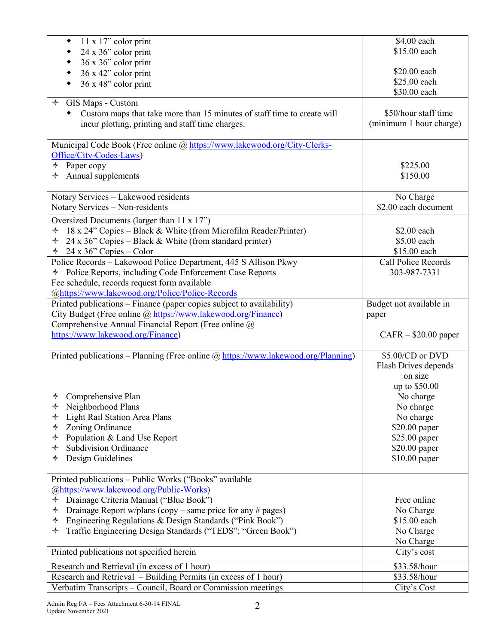| 11 x 17" color print<br>٠                                                         | \$4.00 each                |
|-----------------------------------------------------------------------------------|----------------------------|
| 24 x 36" color print<br>٠                                                         | \$15.00 each               |
| 36 x 36" color print<br>٠                                                         |                            |
| 36 x 42" color print<br>۰                                                         | \$20.00 each               |
| 36 x 48" color print<br>٠                                                         | \$25.00 each               |
|                                                                                   | \$30.00 each               |
| GIS Maps - Custom                                                                 |                            |
|                                                                                   | \$50/hour staff time       |
| Custom maps that take more than 15 minutes of staff time to create will           |                            |
| incur plotting, printing and staff time charges.                                  | (minimum 1 hour charge)    |
|                                                                                   |                            |
| Municipal Code Book (Free online @ https://www.lakewood.org/City-Clerks-          |                            |
| Office/City-Codes-Laws)                                                           |                            |
| Paper copy<br>✦                                                                   | \$225.00                   |
| Annual supplements                                                                | \$150.00                   |
|                                                                                   |                            |
| Notary Services - Lakewood residents                                              | No Charge                  |
| Notary Services - Non-residents                                                   | \$2.00 each document       |
|                                                                                   |                            |
| Oversized Documents (larger than 11 x 17")                                        |                            |
| 18 x 24" Copies – Black & White (from Microfilm Reader/Printer)<br>✦              | \$2.00 each                |
| 24 x 36" Copies – Black & White (from standard printer)<br>$\ast$                 | \$5.00 each                |
| $\div$ 24 x 36" Copies – Color                                                    | \$15.00 each               |
| Police Records - Lakewood Police Department, 445 S Allison Pkwy                   | <b>Call Police Records</b> |
| + Police Reports, including Code Enforcement Case Reports                         | 303-987-7331               |
| Fee schedule, records request form available                                      |                            |
| @https://www.lakewood.org/Police/Police-Records                                   |                            |
| Printed publications - Finance (paper copies subject to availability)             | Budget not available in    |
|                                                                                   |                            |
| City Budget (Free online @ https://www.lakewood.org/Finance)                      | paper                      |
| Comprehensive Annual Financial Report (Free online @                              |                            |
| https://www.lakewood.org/Finance)                                                 | $CAFR - $20.00$ paper      |
|                                                                                   |                            |
| Printed publications - Planning (Free online @ https://www.lakewood.org/Planning) | \$5.00/CD or DVD           |
|                                                                                   | Flash Drives depends       |
|                                                                                   | on size                    |
|                                                                                   | up to \$50.00              |
| $\triangleleft$ Comprehensive Plan                                                | No charge                  |
| Neighborhood Plans<br>✦                                                           | No charge                  |
| Light Rail Station Area Plans<br>✦                                                | No charge                  |
| Zoning Ordinance<br>✦                                                             | \$20.00 paper              |
|                                                                                   |                            |
| Population & Land Use Report<br>✦                                                 | \$25.00 paper              |
| <b>Subdivision Ordinance</b><br>✦                                                 | \$20.00 paper              |
| Design Guidelines<br>✦                                                            | \$10.00 paper              |
|                                                                                   |                            |
| Printed publications - Public Works ("Books" available                            |                            |
| @https://www.lakewood.org/Public-Works)                                           |                            |
| Drainage Criteria Manual ("Blue Book")<br>✦                                       | Free online                |
| Drainage Report w/plans (copy – same price for any # pages)<br>✦                  | No Charge                  |
| Engineering Regulations & Design Standards ("Pink Book")<br>✦                     | \$15.00 each               |
| Traffic Engineering Design Standards ("TEDS"; "Green Book")<br>✦                  | No Charge                  |
|                                                                                   | No Charge                  |
| Printed publications not specified herein                                         | City's cost                |
|                                                                                   |                            |
| Research and Retrieval (in excess of 1 hour)                                      | \$33.58/hour               |
| Research and Retrieval – Building Permits (in excess of 1 hour)                   | \$33.58/hour               |
| Verbatim Transcripts - Council, Board or Commission meetings                      | City's Cost                |